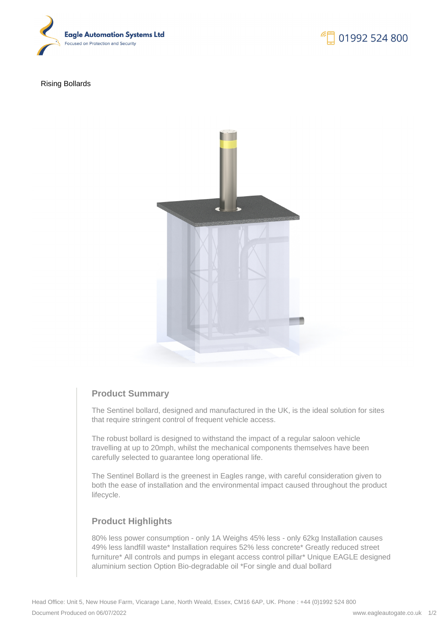

Rising Bollards



# **Product Summary**

The Sentinel bollard, designed and manufactured in the UK, is the ideal solution for sites that require stringent control of frequent vehicle access.

The robust bollard is designed to withstand the impact of a regular saloon vehicle travelling at up to 20mph, whilst the mechanical components themselves have been carefully selected to guarantee long operational life.

The Sentinel Bollard is the greenest in Eagles range, with careful consideration given to both the ease of installation and the environmental impact caused throughout the product lifecycle.

# **Product Highlights**

80% less power consumption - only 1A Weighs 45% less - only 62kg Installation causes 49% less landfill waste\* Installation requires 52% less concrete\* Greatly reduced street furniture\* All controls and pumps in elegant access control pillar\* Unique EAGLE designed aluminium section Option Bio-degradable oil \*For single and dual bollard

01992 524 800